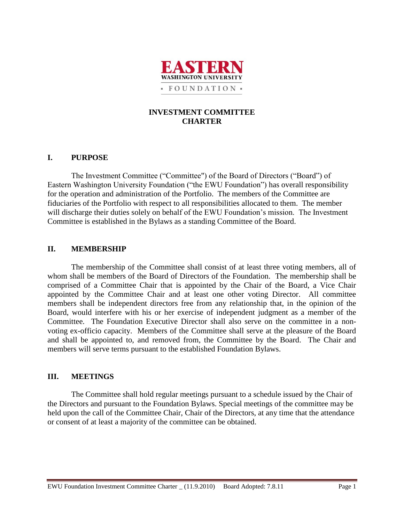

# **INVESTMENT COMMITTEE CHARTER**

# **I. PURPOSE**

The Investment Committee ("Committee") of the Board of Directors ("Board") of Eastern Washington University Foundation ("the EWU Foundation") has overall responsibility for the operation and administration of the Portfolio. The members of the Committee are fiduciaries of the Portfolio with respect to all responsibilities allocated to them. The member will discharge their duties solely on behalf of the EWU Foundation's mission. The Investment Committee is established in the Bylaws as a standing Committee of the Board.

# **II. MEMBERSHIP**

The membership of the Committee shall consist of at least three voting members, all of whom shall be members of the Board of Directors of the Foundation. The membership shall be comprised of a Committee Chair that is appointed by the Chair of the Board, a Vice Chair appointed by the Committee Chair and at least one other voting Director. All committee members shall be independent directors free from any relationship that, in the opinion of the Board, would interfere with his or her exercise of independent judgment as a member of the Committee. The Foundation Executive Director shall also serve on the committee in a nonvoting ex-officio capacity. Members of the Committee shall serve at the pleasure of the Board and shall be appointed to, and removed from, the Committee by the Board. The Chair and members will serve terms pursuant to the established Foundation Bylaws.

## **III. MEETINGS**

The Committee shall hold regular meetings pursuant to a schedule issued by the Chair of the Directors and pursuant to the Foundation Bylaws. Special meetings of the committee may be held upon the call of the Committee Chair, Chair of the Directors, at any time that the attendance or consent of at least a majority of the committee can be obtained.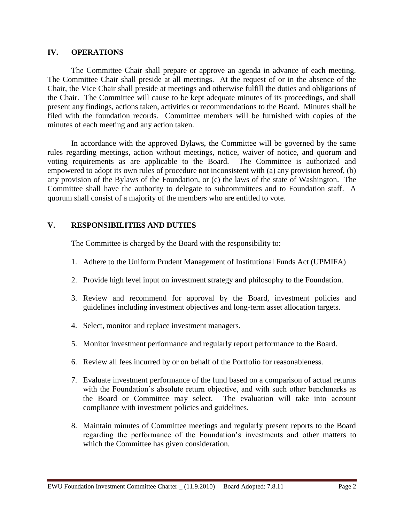## **IV. OPERATIONS**

The Committee Chair shall prepare or approve an agenda in advance of each meeting. The Committee Chair shall preside at all meetings. At the request of or in the absence of the Chair, the Vice Chair shall preside at meetings and otherwise fulfill the duties and obligations of the Chair. The Committee will cause to be kept adequate minutes of its proceedings, and shall present any findings, actions taken, activities or recommendations to the Board. Minutes shall be filed with the foundation records. Committee members will be furnished with copies of the minutes of each meeting and any action taken.

In accordance with the approved Bylaws, the Committee will be governed by the same rules regarding meetings, action without meetings, notice, waiver of notice, and quorum and voting requirements as are applicable to the Board. The Committee is authorized and empowered to adopt its own rules of procedure not inconsistent with (a) any provision hereof, (b) any provision of the Bylaws of the Foundation, or (c) the laws of the state of Washington. The Committee shall have the authority to delegate to subcommittees and to Foundation staff. A quorum shall consist of a majority of the members who are entitled to vote.

# **V. RESPONSIBILITIES AND DUTIES**

The Committee is charged by the Board with the responsibility to:

- 1. Adhere to the Uniform Prudent Management of Institutional Funds Act (UPMIFA)
- 2. Provide high level input on investment strategy and philosophy to the Foundation.
- 3. Review and recommend for approval by the Board, investment policies and guidelines including investment objectives and long-term asset allocation targets.
- 4. Select, monitor and replace investment managers.
- 5. Monitor investment performance and regularly report performance to the Board.
- 6. Review all fees incurred by or on behalf of the Portfolio for reasonableness.
- 7. Evaluate investment performance of the fund based on a comparison of actual returns with the Foundation's absolute return objective, and with such other benchmarks as the Board or Committee may select. The evaluation will take into account compliance with investment policies and guidelines.
- 8. Maintain minutes of Committee meetings and regularly present reports to the Board regarding the performance of the Foundation's investments and other matters to which the Committee has given consideration.